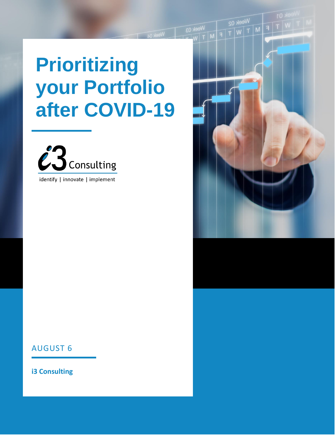# **Prioritizing your Portfolio after COVID-19**



identify | innovate | implement



#### AUGUST 6

**i3 Consulting**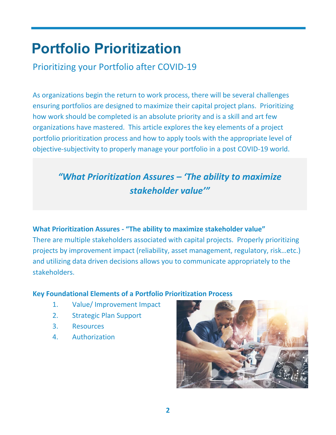## **Portfolio Prioritization**

Prioritizing your Portfolio after COVID-19

As organizations begin the return to work process, there will be several challenges ensuring portfolios are designed to maximize their capital project plans. Prioritizing how work should be completed is an absolute priority and is a skill and art few organizations have mastered. This article explores the key elements of a project portfolio prioritization process and how to apply tools with the appropriate level of objective-subjectivity to properly manage your portfolio in a post COVID-19 world.

### *"What Prioritization Assures – 'The ability to maximize stakeholder value'"*

#### **What Prioritization Assures - "The ability to maximize stakeholder value"**

There are multiple stakeholders associated with capital projects. Properly prioritizing projects by improvement impact (reliability, asset management, regulatory, risk…etc.) and utilizing data driven decisions allows you to communicate appropriately to the stakeholders.

#### **Key Foundational Elements of a Portfolio Prioritization Process**

- 1. Value/ Improvement Impact
- 2. Strategic Plan Support
- 3. Resources
- 4. Authorization